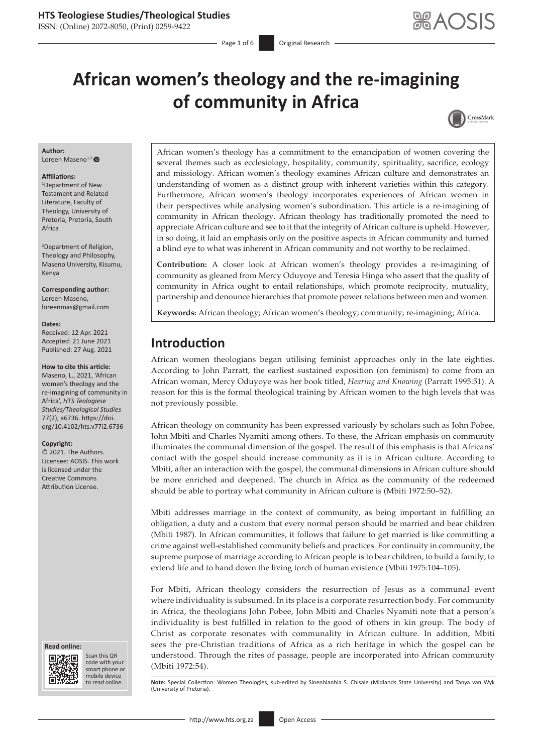# **HTS Teologiese Studies/Theological Studies**

ISSN: (Online) 2072-8050, (Print) 0259-9422

Page 1 of 6 **Original Research** 

# **African women's theology and the re-imagining of community in Africa**



#### **Author:**

Loreen Maseno<sup>1,[2](https://orcid.org/0000-0003-3141-3898)</sup>

#### **Affiliations:**

1 Department of New Testament and Related Literature, Faculty of Theology, University of Pretoria, Pretoria, South Africa

2 Department of Religion, Theology and Philosophy, Maseno University, Kisumu, Kenya

**Corresponding author:** Loreen Maseno, [loreenmas@gmail.com](mailto:loreenmas@gmail.com)

#### **Dates:**

Received: 12 Apr. 2021 Accepted: 21 June 2021 Published: 27 Aug. 2021

#### **How to cite this article:**

Maseno, L., 2021, 'African women's theology and the re-imagining of community in Africa', *HTS Teologiese Studies/Theological Studies* 77(2), a6736. [https://doi.](https://doi.org/10.4102/hts.v77i2.6736) [org/10.4102/hts.v77i2.6736](https://doi.org/10.4102/hts.v77i2.6736)

#### **Copyright:**

© 2021. The Authors. Licensee: AOSIS. This work is licensed under the Creative Commons Attribution License.





Scan this QR code with your Scan this QR<br>code with your<br>smart phone or<br>mobile device mobile device to read online.

African women's theology has a commitment to the emancipation of women covering the several themes such as ecclesiology, hospitality, community, spirituality, sacrifice, ecology and missiology. African women's theology examines African culture and demonstrates an understanding of women as a distinct group with inherent varieties within this category. Furthermore, African women's theology incorporates experiences of African women in their perspectives while analysing women's subordination. This article is a re-imagining of community in African theology. African theology has traditionally promoted the need to appreciate African culture and see to it that the integrity of African culture is upheld. However, in so doing, it laid an emphasis only on the positive aspects in African community and turned a blind eye to what was inherent in African community and not worthy to be reclaimed.

**Contribution:** A closer look at African women's theology provides a re-imagining of community as gleaned from Mercy Oduyoye and Teresia Hinga who assert that the quality of community in Africa ought to entail relationships, which promote reciprocity, mutuality, partnership and denounce hierarchies that promote power relations between men and women.

**Keywords:** African theology; African women's theology; community; re-imagining; Africa.

# **Introduction**

African women theologians began utilising feminist approaches only in the late eighties. According to John Parratt, the earliest sustained exposition (on feminism) to come from an African woman, Mercy Oduyoye was her book titled, *Hearing and Knowing* (Parratt 1995:51). A reason for this is the formal theological training by African women to the high levels that was not previously possible.

African theology on community has been expressed variously by scholars such as John Pobee, John Mbiti and Charles Nyamiti among others. To these, the African emphasis on community illuminates the communal dimension of the gospel. The result of this emphasis is that Africans' contact with the gospel should increase community as it is in African culture. According to Mbiti, after an interaction with the gospel, the communal dimensions in African culture should be more enriched and deepened. The church in Africa as the community of the redeemed should be able to portray what community in African culture is (Mbiti 1972:50–52).

Mbiti addresses marriage in the context of community, as being important in fulfilling an obligation, a duty and a custom that every normal person should be married and bear children (Mbiti 1987). In African communities, it follows that failure to get married is like committing a crime against well-established community beliefs and practices. For continuity in community, the supreme purpose of marriage according to African people is to bear children, to build a family, to extend life and to hand down the living torch of human existence (Mbiti 1975:104–105).

For Mbiti, African theology considers the resurrection of Jesus as a communal event where individuality is subsumed. In its place is a corporate resurrection body. For community in Africa, the theologians John Pobee, John Mbiti and Charles Nyamiti note that a person's individuality is best fulfilled in relation to the good of others in kin group. The body of Christ as corporate resonates with communality in African culture. In addition, Mbiti sees the pre-Christian traditions of Africa as a rich heritage in which the gospel can be understood. Through the rites of passage, people are incorporated into African community (Mbiti 1972:54).

Note: Special Collection: Women Theologies, sub-edited by Sinenhlanhla S. Chisale (Midlands State University) and Tanya van Wyk (University of Pretoria).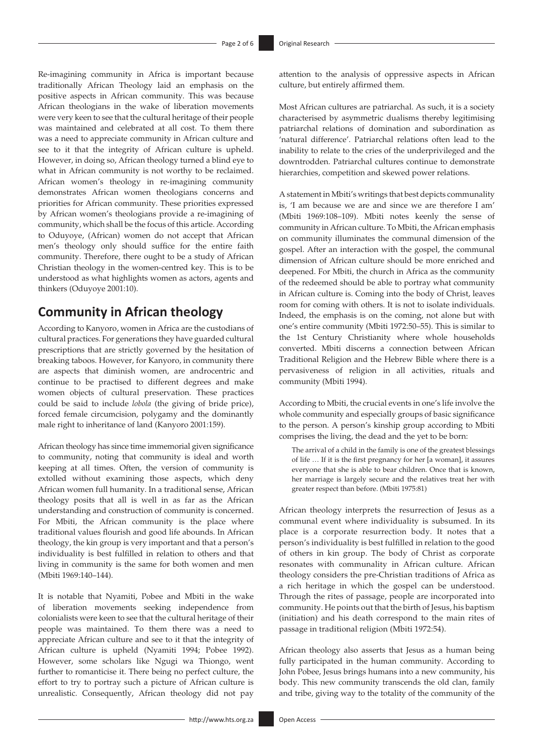Re-imagining community in Africa is important because traditionally African Theology laid an emphasis on the positive aspects in African community. This was because African theologians in the wake of liberation movements were very keen to see that the cultural heritage of their people was maintained and celebrated at all cost. To them there was a need to appreciate community in African culture and see to it that the integrity of African culture is upheld. However, in doing so, African theology turned a blind eye to what in African community is not worthy to be reclaimed. African women's theology in re-imagining community demonstrates African women theologians concerns and priorities for African community. These priorities expressed by African women's theologians provide a re-imagining of community, which shall be the focus of this article. According to Oduyoye, (African) women do not accept that African men's theology only should suffice for the entire faith community. Therefore, there ought to be a study of African Christian theology in the women-centred key. This is to be understood as what highlights women as actors, agents and thinkers (Oduyoye 2001:10).

# **Community in African theology**

According to Kanyoro, women in Africa are the custodians of cultural practices. For generations they have guarded cultural prescriptions that are strictly governed by the hesitation of breaking taboos. However, for Kanyoro, in community there are aspects that diminish women, are androcentric and continue to be practised to different degrees and make women objects of cultural preservation. These practices could be said to include *lobola* (the giving of bride price), forced female circumcision, polygamy and the dominantly male right to inheritance of land (Kanyoro 2001:159).

African theology has since time immemorial given significance to community, noting that community is ideal and worth keeping at all times. Often, the version of community is extolled without examining those aspects, which deny African women full humanity. In a traditional sense, African theology posits that all is well in as far as the African understanding and construction of community is concerned. For Mbiti, the African community is the place where traditional values flourish and good life abounds. In African theology, the kin group is very important and that a person's individuality is best fulfilled in relation to others and that living in community is the same for both women and men (Mbiti 1969:140–144).

It is notable that Nyamiti, Pobee and Mbiti in the wake of liberation movements seeking independence from colonialists were keen to see that the cultural heritage of their people was maintained. To them there was a need to appreciate African culture and see to it that the integrity of African culture is upheld (Nyamiti 1994; Pobee 1992). However, some scholars like Ngugi wa Thiongo, went further to romanticise it. There being no perfect culture, the effort to try to portray such a picture of African culture is unrealistic. Consequently, African theology did not pay

attention to the analysis of oppressive aspects in African culture, but entirely affirmed them.

Most African cultures are patriarchal. As such, it is a society characterised by asymmetric dualisms thereby legitimising patriarchal relations of domination and subordination as 'natural difference'. Patriarchal relations often lead to the inability to relate to the cries of the underprivileged and the downtrodden. Patriarchal cultures continue to demonstrate hierarchies, competition and skewed power relations.

A statement in Mbiti's writings that best depicts communality is, 'I am because we are and since we are therefore I am' (Mbiti 1969:108–109). Mbiti notes keenly the sense of community in African culture. To Mbiti, the African emphasis on community illuminates the communal dimension of the gospel. After an interaction with the gospel, the communal dimension of African culture should be more enriched and deepened. For Mbiti, the church in Africa as the community of the redeemed should be able to portray what community in African culture is. Coming into the body of Christ, leaves room for coming with others. It is not to isolate individuals. Indeed, the emphasis is on the coming, not alone but with one's entire community (Mbiti 1972:50–55). This is similar to the 1st Century Christianity where whole households converted. Mbiti discerns a connection between African Traditional Religion and the Hebrew Bible where there is a pervasiveness of religion in all activities, rituals and community (Mbiti 1994).

According to Mbiti, the crucial events in one's life involve the whole community and especially groups of basic significance to the person. A person's kinship group according to Mbiti comprises the living, the dead and the yet to be born:

The arrival of a child in the family is one of the greatest blessings of life … If it is the first pregnancy for her [a woman], it assures everyone that she is able to bear children. Once that is known, her marriage is largely secure and the relatives treat her with greater respect than before. (Mbiti 1975:81)

African theology interprets the resurrection of Jesus as a communal event where individuality is subsumed. In its place is a corporate resurrection body. It notes that a person's individuality is best fulfilled in relation to the good of others in kin group. The body of Christ as corporate resonates with communality in African culture. African theology considers the pre-Christian traditions of Africa as a rich heritage in which the gospel can be understood. Through the rites of passage, people are incorporated into community. He points out that the birth of Jesus, his baptism (initiation) and his death correspond to the main rites of passage in traditional religion (Mbiti 1972:54).

African theology also asserts that Jesus as a human being fully participated in the human community. According to John Pobee, Jesus brings humans into a new community, his body. This new community transcends the old clan, family and tribe, giving way to the totality of the community of the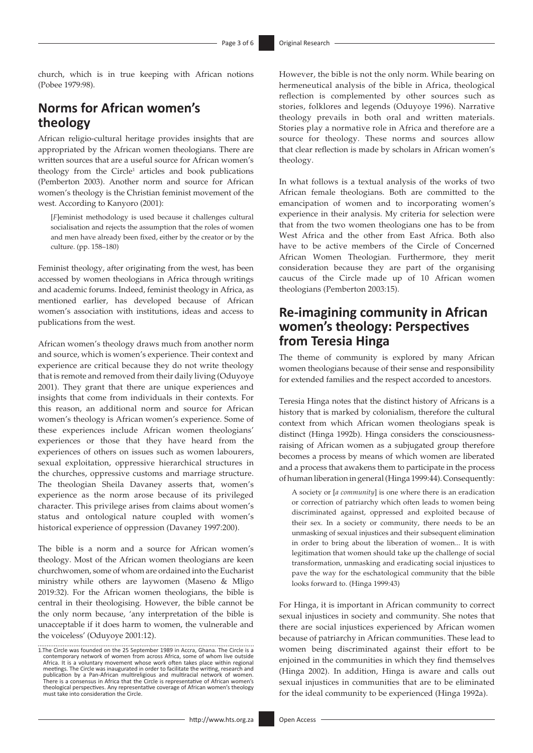church, which is in true keeping with African notions (Pobee 1979:98).

# **Norms for African women's theology**

African religio-cultural heritage provides insights that are appropriated by the African women theologians. There are written sources that are a useful source for African women's theology from the Circle<sup>1</sup> articles and book publications (Pemberton 2003). Another norm and source for African women's theology is the Christian feminist movement of the west. According to Kanyoro (2001):

[*F*]eminist methodology is used because it challenges cultural socialisation and rejects the assumption that the roles of women and men have already been fixed, either by the creator or by the culture. (pp. 158–180)

Feminist theology, after originating from the west, has been accessed by women theologians in Africa through writings and academic forums. Indeed, feminist theology in Africa, as mentioned earlier, has developed because of African women's association with institutions, ideas and access to publications from the west.

African women's theology draws much from another norm and source, which is women's experience. Their context and experience are critical because they do not write theology that is remote and removed from their daily living (Oduyoye 2001). They grant that there are unique experiences and insights that come from individuals in their contexts. For this reason, an additional norm and source for African women's theology is African women's experience. Some of these experiences include African women theologians' experiences or those that they have heard from the experiences of others on issues such as women labourers, sexual exploitation, oppressive hierarchical structures in the churches, oppressive customs and marriage structure. The theologian Sheila Davaney asserts that, women's experience as the norm arose because of its privileged character. This privilege arises from claims about women's status and ontological nature coupled with women's historical experience of oppression (Davaney 1997:200).

The bible is a norm and a source for African women's theology. Most of the African women theologians are keen churchwomen, some of whom are ordained into the Eucharist ministry while others are laywomen (Maseno & Mligo 2019:32). For the African women theologians, the bible is central in their theologising. However, the bible cannot be the only norm because, 'any interpretation of the bible is unacceptable if it does harm to women, the vulnerable and the voiceless' (Oduyoye 2001:12).

However, the bible is not the only norm. While bearing on hermeneutical analysis of the bible in Africa, theological reflection is complemented by other sources such as stories, folklores and legends (Oduyoye 1996). Narrative theology prevails in both oral and written materials. Stories play a normative role in Africa and therefore are a source for theology. These norms and sources allow that clear reflection is made by scholars in African women's theology.

In what follows is a textual analysis of the works of two African female theologians. Both are committed to the emancipation of women and to incorporating women's experience in their analysis. My criteria for selection were that from the two women theologians one has to be from West Africa and the other from East Africa. Both also have to be active members of the Circle of Concerned African Women Theologian. Furthermore, they merit consideration because they are part of the organising caucus of the Circle made up of 10 African women theologians (Pemberton 2003:15).

# **Re-imagining community in African women's theology: Perspectives from Teresia Hinga**

The theme of community is explored by many African women theologians because of their sense and responsibility for extended families and the respect accorded to ancestors.

Teresia Hinga notes that the distinct history of Africans is a history that is marked by colonialism, therefore the cultural context from which African women theologians speak is distinct (Hinga 1992b). Hinga considers the consciousnessraising of African women as a subjugated group therefore becomes a process by means of which women are liberated and a process that awakens them to participate in the process of human liberation in general (Hinga 1999:44). Consequently:

A society or [*a community*] is one where there is an eradication or correction of patriarchy which often leads to women being discriminated against, oppressed and exploited because of their sex. In a society or community, there needs to be an unmasking of sexual injustices and their subsequent elimination in order to bring about the liberation of women... It is with legitimation that women should take up the challenge of social transformation, unmasking and eradicating social injustices to pave the way for the eschatological community that the bible looks forward to. (Hinga 1999:43)

For Hinga, it is important in African community to correct sexual injustices in society and community. She notes that there are social injustices experienced by African women because of patriarchy in African communities. These lead to women being discriminated against their effort to be enjoined in the communities in which they find themselves (Hinga 2002). In addition, Hinga is aware and calls out sexual injustices in communities that are to be eliminated for the ideal community to be experienced (Hinga 1992a).

<sup>1.</sup>The Circle was founded on the 25 September 1989 in Accra, Ghana. The Circle is a contemporary network of women from across Africa, some of whom live outside Africa. It is a voluntary movement whose work often takes place within regional meetings. The Circle was inaugurated in order to facilitate the writing, research and<br>publication by a Pan-African multireligious and multiracial network of women.<br>There is a consensus in Africa that the Circle is represen theological perspectives. Any representative coverage of African women's theology must take into consideration the Circle.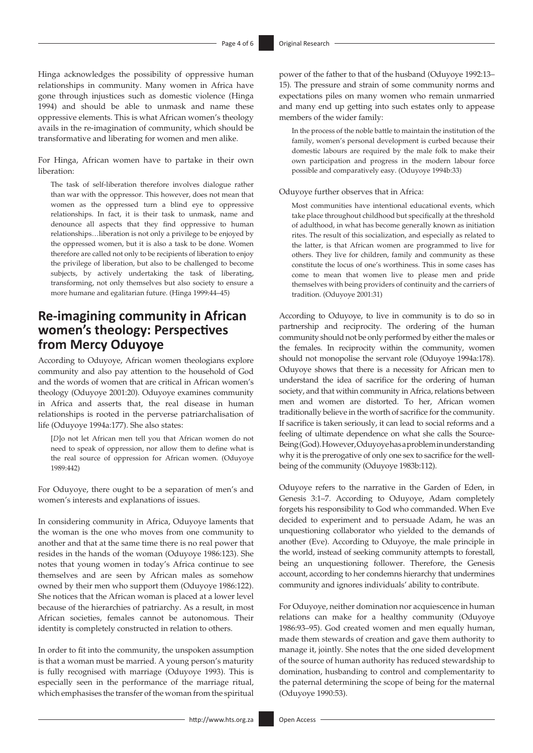Hinga acknowledges the possibility of oppressive human relationships in community. Many women in Africa have gone through injustices such as domestic violence (Hinga 1994) and should be able to unmask and name these oppressive elements. This is what African women's theology avails in the re-imagination of community, which should be transformative and liberating for women and men alike.

For Hinga, African women have to partake in their own liberation:

The task of self-liberation therefore involves dialogue rather than war with the oppressor. This however, does not mean that women as the oppressed turn a blind eye to oppressive relationships. In fact, it is their task to unmask, name and denounce all aspects that they find oppressive to human relationships…liberation is not only a privilege to be enjoyed by the oppressed women, but it is also a task to be done. Women therefore are called not only to be recipients of liberation to enjoy the privilege of liberation, but also to be challenged to become subjects, by actively undertaking the task of liberating, transforming, not only themselves but also society to ensure a more humane and egalitarian future. (Hinga 1999:44–45)

# **Re-imagining community in African women's theology: Perspectives from Mercy Oduyoye**

According to Oduyoye, African women theologians explore community and also pay attention to the household of God and the words of women that are critical in African women's theology (Oduyoye 2001:20). Oduyoye examines community in Africa and asserts that, the real disease in human relationships is rooted in the perverse patriarchalisation of life (Oduyoye 1994a:177). She also states:

[*D*]o not let African men tell you that African women do not need to speak of oppression, nor allow them to define what is the real source of oppression for African women. (Oduyoye 1989:442)

For Oduyoye, there ought to be a separation of men's and women's interests and explanations of issues.

In considering community in Africa, Oduyoye laments that the woman is the one who moves from one community to another and that at the same time there is no real power that resides in the hands of the woman (Oduyoye 1986:123). She notes that young women in today's Africa continue to see themselves and are seen by African males as somehow owned by their men who support them (Oduyoye 1986:122). She notices that the African woman is placed at a lower level because of the hierarchies of patriarchy. As a result, in most African societies, females cannot be autonomous. Their identity is completely constructed in relation to others.

In order to fit into the community, the unspoken assumption is that a woman must be married. A young person's maturity is fully recognised with marriage (Oduyoye 1993). This is especially seen in the performance of the marriage ritual, which emphasises the transfer of the woman from the spiritual

power of the father to that of the husband (Oduyoye 1992:13– 15). The pressure and strain of some community norms and expectations piles on many women who remain unmarried and many end up getting into such estates only to appease members of the wider family:

In the process of the noble battle to maintain the institution of the family, women's personal development is curbed because their domestic labours are required by the male folk to make their own participation and progress in the modern labour force possible and comparatively easy. (Oduyoye 1994b:33)

#### Oduyoye further observes that in Africa:

Most communities have intentional educational events, which take place throughout childhood but specifically at the threshold of adulthood, in what has become generally known as initiation rites. The result of this socialization, and especially as related to the latter, is that African women are programmed to live for others. They live for children, family and community as these constitute the locus of one's worthiness. This in some cases has come to mean that women live to please men and pride themselves with being providers of continuity and the carriers of tradition. (Oduyoye 2001:31)

According to Oduyoye, to live in community is to do so in partnership and reciprocity. The ordering of the human community should not be only performed by either the males or the females. In reciprocity within the community, women should not monopolise the servant role (Oduyoye 1994a:178). Oduyoye shows that there is a necessity for African men to understand the idea of sacrifice for the ordering of human society, and that within community in Africa, relations between men and women are distorted. To her, African women traditionally believe in the worth of sacrifice for the community. If sacrifice is taken seriously, it can lead to social reforms and a feeling of ultimate dependence on what she calls the Source-Being (God). However, Oduyoye has a problem in understanding why it is the prerogative of only one sex to sacrifice for the wellbeing of the community (Oduyoye 1983b:112).

Oduyoye refers to the narrative in the Garden of Eden, in Genesis 3:1–7. According to Oduyoye, Adam completely forgets his responsibility to God who commanded. When Eve decided to experiment and to persuade Adam, he was an unquestioning collaborator who yielded to the demands of another (Eve). According to Oduyoye, the male principle in the world, instead of seeking community attempts to forestall, being an unquestioning follower. Therefore, the Genesis account, according to her condemns hierarchy that undermines community and ignores individuals' ability to contribute.

For Oduyoye, neither domination nor acquiescence in human relations can make for a healthy community (Oduyoye 1986:93–95). God created women and men equally human, made them stewards of creation and gave them authority to manage it, jointly. She notes that the one sided development of the source of human authority has reduced stewardship to domination, husbanding to control and complementarity to the paternal determining the scope of being for the maternal (Oduyoye 1990:53).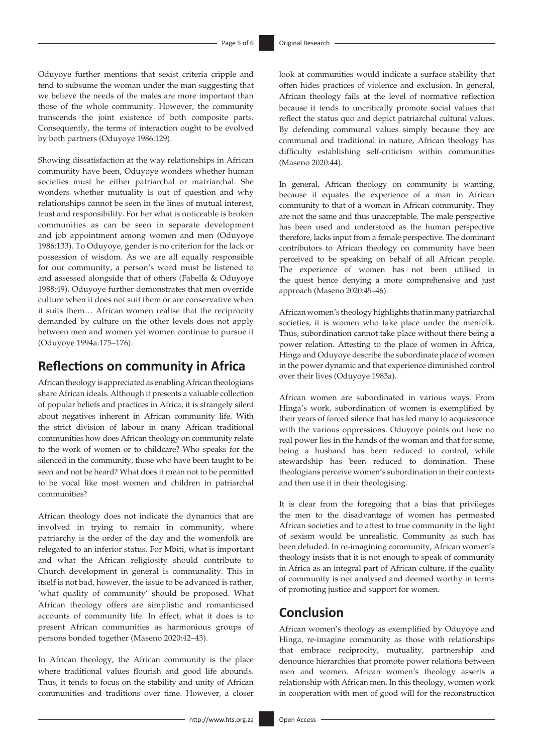Oduyoye further mentions that sexist criteria cripple and tend to subsume the woman under the man suggesting that we believe the needs of the males are more important than those of the whole community. However, the community transcends the joint existence of both composite parts. Consequently, the terms of interaction ought to be evolved by both partners (Oduyoye 1986:129).

Showing dissatisfaction at the way relationships in African community have been, Oduyoye wonders whether human societies must be either patriarchal or matriarchal. She wonders whether mutuality is out of question and why relationships cannot be seen in the lines of mutual interest, trust and responsibility. For her what is noticeable is broken communities as can be seen in separate development and job appointment among women and men (Oduyoye 1986:133). To Oduyoye, gender is no criterion for the lack or possession of wisdom. As we are all equally responsible for our community, a person's word must be listened to and assessed alongside that of others (Fabella & Oduyoye 1988:49). Oduyoye further demonstrates that men override culture when it does not suit them or are conservative when it suits them… African women realise that the reciprocity demanded by culture on the other levels does not apply between men and women yet women continue to pursue it (Oduyoye 1994a:175–176).

### **Reflections on community in Africa**

African theology is appreciated as enabling African theologians share African ideals. Although it presents a valuable collection of popular beliefs and practices in Africa, it is strangely silent about negatives inherent in African community life. With the strict division of labour in many African traditional communities how does African theology on community relate to the work of women or to childcare? Who speaks for the silenced in the community, those who have been taught to be seen and not be heard? What does it mean not to be permitted to be vocal like most women and children in patriarchal communities?

African theology does not indicate the dynamics that are involved in trying to remain in community, where patriarchy is the order of the day and the womenfolk are relegated to an inferior status. For Mbiti, what is important and what the African religiosity should contribute to Church development in general is communality. This in itself is not bad, however, the issue to be advanced is rather, 'what quality of community' should be proposed. What African theology offers are simplistic and romanticised accounts of community life. In effect, what it does is to present African communities as harmonious groups of persons bonded together (Maseno 2020:42–43).

In African theology, the African community is the place where traditional values flourish and good life abounds. Thus, it tends to focus on the stability and unity of African communities and traditions over time. However, a closer

look at communities would indicate a surface stability that often hides practices of violence and exclusion. In general, African theology fails at the level of normative reflection because it tends to uncritically promote social values that reflect the status quo and depict patriarchal cultural values. By defending communal values simply because they are communal and traditional in nature, African theology has difficulty establishing self-criticism within communities (Maseno 2020:44).

In general, African theology on community is wanting, because it equates the experience of a man in African community to that of a woman in African community. They are not the same and thus unacceptable. The male perspective has been used and understood as the human perspective therefore, lacks input from a female perspective. The dominant contributors to African theology on community have been perceived to be speaking on behalf of all African people. The experience of women has not been utilised in the quest hence denying a more comprehensive and just approach (Maseno 2020:45–46).

African women's theology highlights that in many patriarchal societies, it is women who take place under the menfolk. Thus, subordination cannot take place without there being a power relation. Attesting to the place of women in Africa, Hinga and Oduyoye describe the subordinate place of women in the power dynamic and that experience diminished control over their lives (Oduyoye 1983a).

African women are subordinated in various ways. From Hinga's work, subordination of women is exemplified by their years of forced silence that has led many to acquiescence with the various oppressions. Oduyoye points out how no real power lies in the hands of the woman and that for some, being a husband has been reduced to control, while stewardship has been reduced to domination. These theologians perceive women's subordination in their contexts and then use it in their theologising.

It is clear from the foregoing that a bias that privileges the men to the disadvantage of women has permeated African societies and to attest to true community in the light of sexism would be unrealistic. Community as such has been deluded. In re-imagining community, African women's theology insists that it is not enough to speak of community in Africa as an integral part of African culture, if the quality of community is not analysed and deemed worthy in terms of promoting justice and support for women.

# **Conclusion**

African women's theology as exemplified by Oduyoye and Hinga, re-imagine community as those with relationships that embrace reciprocity, mutuality, partnership and denounce hierarchies that promote power relations between men and women. African women's theology asserts a relationship with African men. In this theology, women work in cooperation with men of good will for the reconstruction